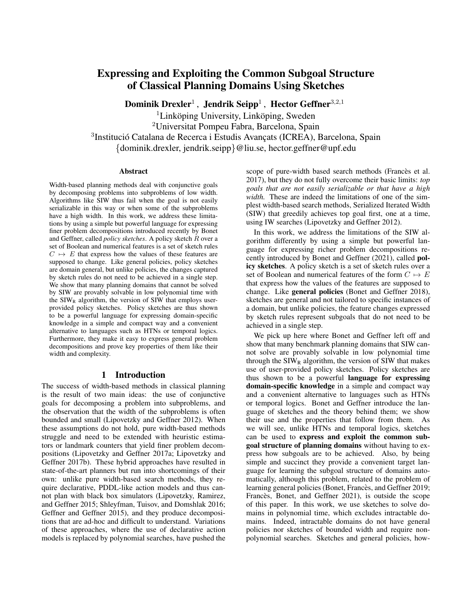# Expressing and Exploiting the Common Subgoal Structure of Classical Planning Domains Using Sketches

Dominik Drexler $^1$  , Jendrik Seipp $^1$  , Hector Geffner $^{3,2,1}$ 

 ${}^{1}$ Linköping University, Linköping, Sweden

<sup>2</sup>Universitat Pompeu Fabra, Barcelona, Spain

<sup>3</sup>Institució Catalana de Recerca i Estudis Avançats (ICREA), Barcelona, Spain

{dominik.drexler, jendrik.seipp}@liu.se, hector.geffner@upf.edu

# **Abstract**

Width-based planning methods deal with conjunctive goals by decomposing problems into subproblems of low width. Algorithms like SIW thus fail when the goal is not easily serializable in this way or when some of the subproblems have a high width. In this work, we address these limitations by using a simple but powerful language for expressing finer problem decompositions introduced recently by Bonet and Geffner, called *policy sketches*. A policy sketch R over a set of Boolean and numerical features is a set of sketch rules  $C \rightarrow E$  that express how the values of these features are supposed to change. Like general policies, policy sketches are domain general, but unlike policies, the changes captured by sketch rules do not need to be achieved in a single step. We show that many planning domains that cannot be solved by SIW are provably solvable in low polynomial time with the  $SIW_R$  algorithm, the version of  $SIW$  that employs userprovided policy sketches. Policy sketches are thus shown to be a powerful language for expressing domain-specific knowledge in a simple and compact way and a convenient alternative to languages such as HTNs or temporal logics. Furthermore, they make it easy to express general problem decompositions and prove key properties of them like their width and complexity.

# 1 Introduction

The success of width-based methods in classical planning is the result of two main ideas: the use of conjunctive goals for decomposing a problem into subproblems, and the observation that the width of the subproblems is often bounded and small [\(Lipovetzky and Geffner 2012\)](#page-9-0). When these assumptions do not hold, pure width-based methods struggle and need to be extended with heuristic estimators or landmark counters that yield finer problem decompositions [\(Lipovetzky and Geffner 2017a;](#page-9-1) [Lipovetzky and](#page-9-2) [Geffner 2017b\)](#page-9-2). These hybrid approaches have resulted in state-of-the-art planners but run into shortcomings of their own: unlike pure width-based search methods, they require declarative, PDDL-like action models and thus cannot plan with black box simulators [\(Lipovetzky, Ramirez,](#page-9-3) [and Geffner 2015;](#page-9-3) [Shleyfman, Tuisov, and Domshlak 2016;](#page-10-0) [Geffner and Geffner 2015\)](#page-9-4), and they produce decompositions that are ad-hoc and difficult to understand. Variations of these approaches, where the use of declarative action models is replaced by polynomial searches, have pushed the

scope of pure-width based search methods (Francès et al. [2017\)](#page-9-5), but they do not fully overcome their basic limits: *top goals that are not easily serializable or that have a high width.* These are indeed the limitations of one of the simplest width-based search methods, Serialized Iterated Width (SIW) that greedily achieves top goal first, one at a time, using IW searches [\(Lipovetzky and Geffner 2012\)](#page-9-0).

In this work, we address the limitations of the SIW algorithm differently by using a simple but powerful language for expressing richer problem decompositions recently introduced by Bonet and Geffner [\(2021\)](#page-9-6), called policy sketches. A policy sketch is a set of sketch rules over a set of Boolean and numerical features of the form  $C \mapsto E$ that express how the values of the features are supposed to change. Like general policies [\(Bonet and Geffner 2018\)](#page-9-7), sketches are general and not tailored to specific instances of a domain, but unlike policies, the feature changes expressed by sketch rules represent subgoals that do not need to be achieved in a single step.

We pick up here where Bonet and Geffner left off and show that many benchmark planning domains that SIW cannot solve are provably solvable in low polynomial time through the  $SIW_R$  algorithm, the version of  $SIW$  that makes use of user-provided policy sketches. Policy sketches are thus shown to be a powerful language for expressing domain-specific knowledge in a simple and compact way and a convenient alternative to languages such as HTNs or temporal logics. Bonet and Geffner introduce the language of sketches and the theory behind them; we show their use and the properties that follow from them. As we will see, unlike HTNs and temporal logics, sketches can be used to express and exploit the common subgoal structure of planning domains without having to express how subgoals are to be achieved. Also, by being simple and succinct they provide a convenient target language for learning the subgoal structure of domains automatically, although this problem, related to the problem of learning general policies (Bonet, Francès, and Geffner 2019; Francès, Bonet, and Geffner 2021), is outside the scope of this paper. In this work, we use sketches to solve domains in polynomial time, which excludes intractable domains. Indeed, intractable domains do not have general policies nor sketches of bounded width and require nonpolynomial searches. Sketches and general policies, how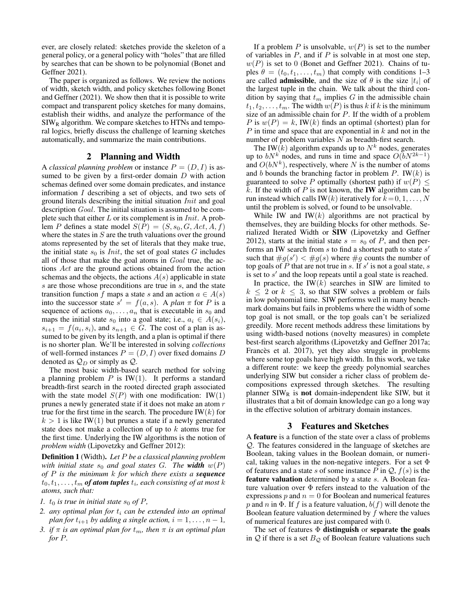ever, are closely related: sketches provide the skeleton of a general policy, or a general policy with "holes" that are filled by searches that can be shown to be polynomial [\(Bonet and](#page-9-6) [Geffner 2021\)](#page-9-6).

The paper is organized as follows. We review the notions of width, sketch width, and policy sketches following Bonet and Geffner [\(2021\)](#page-9-6). We show then that it is possible to write compact and transparent policy sketches for many domains, establish their widths, and analyze the performance of the  $\text{SIW}_R$  algorithm. We compare sketches to HTNs and temporal logics, briefly discuss the challenge of learning sketches automatically, and summarize the main contributions.

### 2 Planning and Width

A *classical planning problem* or instance  $P = (D, I)$  is assumed to be given by a first-order domain  $D$  with action schemas defined over some domain predicates, and instance information I describing a set of objects, and two sets of ground literals describing the initial situation Init and goal description Goal. The initial situation is assumed to be complete such that either  $L$  or its complement is in  $Init$ . A problem P defines a state model  $S(P) = (S, s_0, G, Act, A, f)$ where the states in  $S$  are the truth valuations over the ground atoms represented by the set of literals that they make true, the initial state  $s_0$  is *Init*, the set of goal states G includes all of those that make the goal atoms in Goal true, the actions Act are the ground actions obtained from the action schemas and the objects, the actions  $A(s)$  applicable in state s are those whose preconditions are true in s, and the state transition function f maps a state s and an action  $a \in A(s)$ into the successor state  $s' = f(a, s)$ . A *plan*  $\pi$  for P is a sequence of actions  $a_0, \ldots, a_n$  that is executable in  $s_0$  and maps the initial state  $s_0$  into a goal state; i.e.,  $a_i \in A(s_i)$ ,  $s_{i+1} = f(a_i, s_i)$ , and  $s_{n+1} \in G$ . The cost of a plan is assumed to be given by its length, and a plan is optimal if there is no shorter plan. We'll be interested in solving *collections* of well-formed instances  $P = (D, I)$  over fixed domains D denoted as  $Q_D$  or simply as  $Q$ .

The most basic width-based search method for solving a planning problem  $P$  is IW(1). It performs a standard breadth-first search in the rooted directed graph associated with the state model  $S(P)$  with one modification: IW(1) prunes a newly generated state if it does not make an atom r true for the first time in the search. The procedure IW $(k)$  for  $k > 1$  is like IW(1) but prunes a state if a newly generated state does not make a collection of up to k atoms true for the first time. Underlying the IW algorithms is the notion of *problem width* [\(Lipovetzky and Geffner 2012\)](#page-9-0):

Definition 1 (Width). *Let* P *be a classical planning problem with initial state*  $s_0$  *and goal states G. The width*  $w(P)$ *of* P *is the minimum* k *for which there exists a sequence*  $t_0, t_1, \ldots, t_m$  **of atom tuples**  $t_i$ , each consisting of at most  $k$ *atoms, such that:*

- *1.*  $t_0$  *is true in initial state*  $s_0$  *of*  $P$ *,*
- *2. any optimal plan for* t<sup>i</sup> *can be extended into an optimal plan for*  $t_{i+1}$  *by adding a single action,*  $i = 1, \ldots, n - 1$ *,*
- *3. if*  $\pi$  *is an optimal plan for*  $t_m$ *, then*  $\pi$  *is an optimal plan for* P*.*

If a problem P is unsolvable,  $w(P)$  is set to the number of variables in  $P$ , and if  $P$  is solvable in at most one step,  $w(P)$  is set to 0 [\(Bonet and Geffner 2021\)](#page-9-6). Chains of tuples  $\theta = (t_0, t_1, \dots, t_m)$  that comply with conditions 1–3 are called **admissible**, and the size of  $\theta$  is the size  $|t_i|$  of the largest tuple in the chain. We talk about the third condition by saying that  $t_m$  implies G in the admissible chain  $t_1, t_2, \ldots, t_m$ . The width  $w(P)$  is thus k if k is the minimum size of an admissible chain for  $P$ . If the width of a problem P is  $w(P) = k$ , IW(k) finds an optimal (shortest) plan for  $P$  in time and space that are exponential in  $k$  and not in the number of problem variables  $N$  as breadth-first search.

The IW(k) algorithm expands up to  $N^k$  nodes, generates up to  $bN^k$  nodes, and runs in time and space  $O(bN^{2k-1})$ and  $O(bN^k)$ , respectively, where N is the number of atoms and b bounds the branching factor in problem  $P$ . IW(k) is guaranteed to solve P optimally (shortest path) if  $w(P) \leq$ k. If the width of  $P$  is not known, the **IW** algorithm can be run instead which calls IW(k) iteratively for  $k = 0, 1, \ldots, N$ until the problem is solved, or found to be unsolvable.

While IW and IW $(k)$  algorithms are not practical by themselves, they are building blocks for other methods. Serialized Iterated Width or SIW [\(Lipovetzky and Geffner](#page-9-0) [2012\)](#page-9-0), starts at the initial state  $s = s_0$  of P, and then performs an IW search from  $s$  to find a shortest path to state  $s'$ such that  $\#g(s') < \#g(s)$  where  $\#g$  counts the number of top goals of  $\overline{P}$  that are not true in s. If  $s'$  is not a goal state, s is set to  $s'$  and the loop repeats until a goal state is reached.

In practice, the IW $(k)$  searches in SIW are limited to  $k \leq 2$  or  $k \leq 3$ , so that SIW solves a problem or fails in low polynomial time. SIW performs well in many benchmark domains but fails in problems where the width of some top goal is not small, or the top goals can't be serialized greedily. More recent methods address these limitations by using width-based notions (novelty measures) in complete best-first search algorithms [\(Lipovetzky and Geffner 2017a;](#page-9-1) Francès et al. 2017), yet they also struggle in problems where some top goals have high width. In this work, we take a different route: we keep the greedy polynomial searches underlying SIW but consider a richer class of problem decompositions expressed through sketches. The resulting planner  $SIW_R$  is not domain-independent like SIW, but it illustrates that a bit of domain knowledge can go a long way in the effective solution of arbitrary domain instances.

#### 3 Features and Sketches

A feature is a function of the state over a class of problems Q. The features considered in the language of sketches are Boolean, taking values in the Boolean domain, or numerical, taking values in the non-negative integers. For a set  $\Phi$ of features and a state s of some instance P in  $Q, f(s)$  is the feature valuation determined by a state s. A Boolean feature valuation over  $\Phi$  refers instead to the valuation of the expressions  $p$  and  $n = 0$  for Boolean and numerical features p and n in  $\Phi$ . If f is a feature valuation,  $b(f)$  will denote the Boolean feature valuation determined by  $f$  where the values of numerical features are just compared with 0.

The set of features  $\Phi$  distinguish or separate the goals in  $Q$  if there is a set  $B_Q$  of Boolean feature valuations such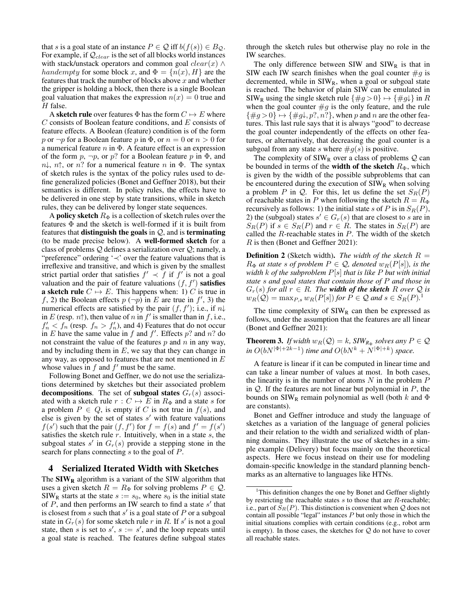that s is a goal state of an instance  $P \in \mathcal{Q}$  iff  $b(f(s)) \in B_{\mathcal{Q}}$ . For example, if  $Q_{clear}$  is the set of all blocks world instances with stack/unstack operators and common goal  $clear(x) \wedge$ handempty for some block x, and  $\Phi = \{n(x), H\}$  are the features that track the number of blocks above  $x$  and whether the gripper is holding a block, then there is a single Boolean goal valuation that makes the expression  $n(x) = 0$  true and  $H$  false.

A sketch rule over features  $\Phi$  has the form  $C \mapsto E$  where C consists of Boolean feature conditions, and E consists of feature effects. A Boolean (feature) condition is of the form p or  $\neg p$  for a Boolean feature p in  $\Phi$ , or  $n = 0$  or  $n > 0$  for a numerical feature  $n$  in  $\Phi$ . A feature effect is an expression of the form  $p, \neg p$ , or  $p$ ? for a Boolean feature p in  $\Phi$ , and  $n\downarrow$ ,  $n\uparrow$ , or n? for a numerical feature n in  $\Phi$ . The syntax of sketch rules is the syntax of the policy rules used to define generalized policies [\(Bonet and Geffner 2018\)](#page-9-7), but their semantics is different. In policy rules, the effects have to be delivered in one step by state transitions, while in sketch rules, they can be delivered by longer state sequences.

A policy sketch  $R_{\Phi}$  is a collection of sketch rules over the features  $\Phi$  and the sketch is well-formed if it is built from features that **distinguish the goals** in  $Q$ , and is **terminating** (to be made precise below). A well-formed sketch for a class of problems  $Q$  defines a serialization over  $Q$ ; namely, a "preference" ordering '≺' over the feature valuations that is irreflexive and transitive, and which is given by the smallest strict partial order that satisfies  $f' \prec f$  if  $f'$  is not a goal valuation and the pair of feature valuations  $(f, f')$  satisfies **a sketch rule**  $C \mapsto E$ . This happens when: 1) C is true in f, 2) the Boolean effects  $p(\neg p)$  in E are true in  $f'$ , 3) the numerical effects are satisfied by the pair  $(f, f')$ ; i.e., if  $n\downarrow$ in E (resp.  $n\uparrow$ ), then value of n in f' is smaller than in f, i.e.,  $f'_n < f_n$  (resp.  $f_n > f'_n$ ), and 4) Features that do not occur in E have the same value in f and f'. Effects p? and n? do not constraint the value of the features  $p$  and  $n$  in any way, and by including them in  $E$ , we say that they can change in any way, as opposed to features that are not mentioned in  $E$ whose values in  $f$  and  $f'$  must be the same.

Following Bonet and Geffner, we do not use the serializations determined by sketches but their associated problem decompositions. The set of subgoal states  $G_r(s)$  associated with a sketch rule  $r : C \mapsto E$  in  $R_{\Phi}$  and a state s for a problem  $P \in Q$ , is empty if C is not true in  $f(s)$ , and else is given by the set of states  $s'$  with feature valuations  $f(s')$  such that the pair  $(f, f')$  for  $f = f(s)$  and  $f' = f(s')$ satisfies the sketch rule  $r$ . Intuitively, when in a state  $s$ , the subgoal states  $s'$  in  $G_r(s)$  provide a stepping stone in the search for plans connecting s to the goal of P.

#### 4 Serialized Iterated Width with Sketches

The  $\text{SIW}_R$  algorithm is a variant of the SIW algorithm that uses a given sketch  $R = R_{\Phi}$  for solving problems  $P \in \mathcal{Q}$ .  $SIW_R$  starts at the state  $s := s_0$ , where  $s_0$  is the initial state of  $P$ , and then performs an IW search to find a state  $s'$  that is closest from  $\overline{s}$  such that  $s'$  is a goal state of  $P$  or a subgoal state in  $G_r(s)$  for some sketch rule r in R. If s' is not a goal state, then s is set to  $s'$ ,  $s := s'$ , and the loop repeats until a goal state is reached. The features define subgoal states through the sketch rules but otherwise play no role in the IW searches.

The only difference between SIW and  $SIW<sub>R</sub>$  is that in SIW each IW search finishes when the goal counter  $\#g$  is decremented, while in  $SIW_R$ , when a goal or subgoal state is reached. The behavior of plain SIW can be emulated in SIW<sub>R</sub> using the single sketch rule  $\{\#g > 0\} \mapsto \{\#g\}\$ in R when the goal counter  $\#g$  is the only feature, and the rule  $\{\#g>0\} \mapsto \{\#g\downarrow, p?, n?\}$ , when p and n are the other features. This last rule says that it is always "good" to decrease the goal counter independently of the effects on other features, or alternatively, that decreasing the goal counter is a subgoal from any state s where  $\#g(s)$  is positive.

The complexity of  $SIW_R$  over a class of problems  $Q$  can be bounded in terms of the **width of the sketch**  $R_{\Phi}$ , which is given by the width of the possible subproblems that can be encountered during the execution of  $SIW_R$  when solving a problem P in Q. For this, let us define the set  $S_R(P)$ of reachable states in P when following the sketch  $R = R_{\Phi}$ recursively as follows: 1) the initial state s of P is in  $S_R(P)$ , 2) the (subgoal) states  $s' \in G_r(s)$  that are closest to s are in  $S_R(P)$  if  $s \in S_R(P)$  and  $r \in R$ . The states in  $S_R(P)$  are called the  $R$ -reachable states in  $P$ . The width of the sketch R is then [\(Bonet and Geffner 2021\)](#page-9-6):

**Definition 2** (Sketch width). *The width of the sketch*  $R =$  $R_{\Phi}$  *at state s of problem*  $P \in \mathcal{Q}$ *, denoted*  $w_R(P[s])$ *, is the width* k *of the subproblem* P[s] *that is like* P *but with initial state* s *and goal states that contain those of* P *and those in*  $G_r(s)$  *for all*  $r \in R$ *. The width of the sketch* R *over* Q *is*  $w_R(\mathcal{Q}) = \max_{P,s} w_R(P[s])$  for  $P \in \mathcal{Q}$  and  $s \in S_R(P).^1$  $s \in S_R(P).^1$ 

The time complexity of  $SIW_R$  can then be expressed as follows, under the assumption that the features are all linear [\(Bonet and Geffner 2021\)](#page-9-6):

<span id="page-2-1"></span>**Theorem 3.** *If width*  $w_R(Q) = k$ , *SIW*<sub> $R_{\Phi}$ </sub> *solves any*  $P \in Q$  $\int$ *in*  $O(bN^{|\Phi|+2k-1})$  *time and*  $O(bN^k+N^{|\Phi|+k})$  *space.* 

A feature is linear if it can be computed in linear time and can take a linear number of values at most. In both cases, the linearity is in the number of atoms  $N$  in the problem  $P$ in  $Q$ . If the features are not linear but polynomial in  $P$ , the bounds on  $SIW_R$  remain polynomial as well (both k and  $\Phi$ are constants).

Bonet and Geffner introduce and study the language of sketches as a variation of the language of general policies and their relation to the width and serialized width of planning domains. They illustrate the use of sketches in a simple example (Delivery) but focus mainly on the theoretical aspects. Here we focus instead on their use for modeling domain-specific knowledge in the standard planning benchmarks as an alternative to languages like HTNs.

<span id="page-2-0"></span><sup>&</sup>lt;sup>1</sup>This definition changes the one by Bonet and Geffner slightly by restricting the reachable states  $s$  to those that are  $R$ -reachable; i.e., part of  $S_R(P)$ . This distinction is convenient when Q does not contain all possible "legal" instances  $P$  but only those in which the initial situations complies with certain conditions (e.g., robot arm is empty). In those cases, the sketches for  $Q$  do not have to cover all reachable states.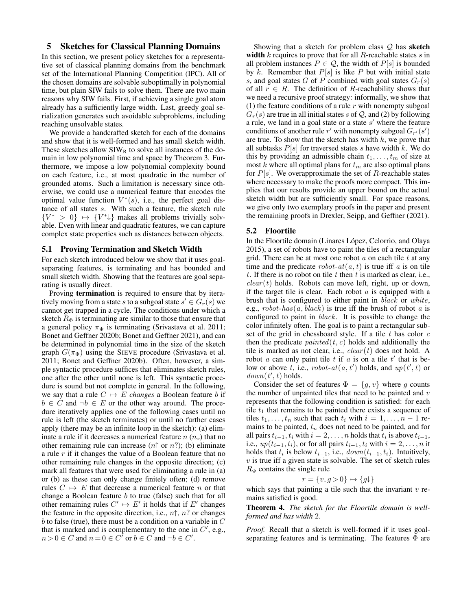# 5 Sketches for Classical Planning Domains

In this section, we present policy sketches for a representative set of classical planning domains from the benchmark set of the International Planning Competition (IPC). All of the chosen domains are solvable suboptimally in polynomial time, but plain SIW fails to solve them. There are two main reasons why SIW fails. First, if achieving a single goal atom already has a sufficiently large width. Last, greedy goal serialization generates such avoidable subproblems, including reaching unsolvable states.

We provide a handcrafted sketch for each of the domains and show that it is well-formed and has small sketch width. These sketches allow  $SIW_R$  to solve all instances of the domain in low polynomial time and space by Theorem [3.](#page-2-1) Furthermore, we impose a low polynomial complexity bound on each feature, i.e., at most quadratic in the number of grounded atoms. Such a limitation is necessary since otherwise, we could use a numerical feature that encodes the optimal value function  $V^*(s)$ , i.e., the perfect goal distance of all states s. With such a feature, the sketch rule  ${V^* > 0} \mapsto {V^* \downarrow}$  makes all problems trivially solvable. Even with linear and quadratic features, we can capture complex state properties such as distances between objects.

#### 5.1 Proving Termination and Sketch Width

For each sketch introduced below we show that it uses goalseparating features, is terminating and has bounded and small sketch width. Showing that the features are goal separating is usually direct.

Proving termination is required to ensure that by iteratively moving from a state s to a subgoal state  $s' \in G_r(s)$  we cannot get trapped in a cycle. The conditions under which a sketch  $R_{\Phi}$  is terminating are similar to those that ensure that a general policy  $\pi_{\Phi}$  is terminating [\(Srivastava et al. 2011;](#page-10-1) [Bonet and Geffner 2020b;](#page-9-10) [Bonet and Geffner 2021\)](#page-9-6), and can be determined in polynomial time in the size of the sketch graph  $G(\pi_{\Phi})$  using the SIEVE procedure [\(Srivastava et al.](#page-10-1) [2011;](#page-10-1) [Bonet and Geffner 2020b\)](#page-9-10). Often, however, a simple syntactic procedure suffices that eliminates sketch rules, one after the other until none is left. This syntactic procedure is sound but not complete in general. In the following, we say that a rule  $C \mapsto \overline{E}$  *changes* a Boolean feature *b* if  $b \in C$  and  $\neg b \in E$  or the other way around. The procedure iteratively applies one of the following cases until no rule is left (the sketch terminates) or until no further cases apply (there may be an infinite loop in the sketch): (a) eliminate a rule if it decreases a numerical feature  $n(n)$  that no other remaining rule can increase  $(n \uparrow \text{or } n?)$ ; (b) eliminate a rule r if it changes the value of a Boolean feature that no other remaining rule changes in the opposite direction; (c) mark all features that were used for eliminating a rule in (a) or (b) as these can only change finitely often; (d) remove rules  $C \mapsto E$  that decrease a numerical feature n or that change a Boolean feature  $b$  to true (false) such that for all other remaining rules  $C' \mapsto E'$  it holds that if E' changes the feature in the opposite direction, i.e.,  $n\uparrow$ ,  $n$ ? or changes  $b$  to false (true), there must be a condition on a variable in  $C$ that is marked and is complementary to the one in  $C'$ , e.g.,  $n > 0 \in C$  and  $n = 0 \in C^{\tilde{I}}$  or  $b \in C$  and  $\neg b \in C'$ .

Showing that a sketch for problem class  $Q$  has sketch width  $k$  requires to prove that for all  $R$ -reachable states  $s$  in all problem instances  $P \in \mathcal{Q}$ , the width of  $P[s]$  is bounded by  $k$ . Remember that  $P[s]$  is like  $P$  but with initial state s, and goal states G of P combined with goal states  $G_r(s)$ of all  $r \in R$ . The definition of R-reachability shows that we need a recursive proof strategy: informally, we show that (1) the feature conditions of a rule  $r$  with nonempty subgoal  $G_r(s)$  are true in all initial states s of Q, and (2) by following a rule, we land in a goal state or a state  $s'$  where the feature conditions of another rule r' with nonempty subgoal  $G_{r'}(s')$ are true. To show that the sketch has width  $k$ , we prove that all subtasks  $P[s]$  for traversed states s have width k. We do this by providing an admissible chain  $t_1, \ldots, t_m$  of size at most  $k$  where all optimal plans for  $t_m$  are also optimal plans for  $P[s]$ . We overapproximate the set of  $R$ -reachable states where necessary to make the proofs more compact. This implies that our results provide an upper bound on the actual sketch width but are sufficiently small. For space reasons, we give only two exemplary proofs in the paper and present the remaining proofs in [Drexler, Seipp, and Geffner](#page-9-11) [\(2021\)](#page-9-11).

#### 5.2 Floortile

In the Floortile domain (Linares López, Celorrio, and Olaya [2015\)](#page-9-12), a set of robots have to paint the tiles of a rectangular grid. There can be at most one robot  $\alpha$  on each tile  $t$  at any time and the predicate  $robot-at(a, t)$  is true iff a is on tile t. If there is no robot on tile t then t is marked as clear, i.e.,  $clear(t)$  holds. Robots can move left, right, up or down, if the target tile is clear. Each robot  $a$  is equipped with a brush that is configured to either paint in black or white, e.g.,  $robot\text{-}has(a, black)$  is true iff the brush of robot a is configured to paint in black. It is possible to change the color infinitely often. The goal is to paint a rectangular subset of the grid in chessboard style. If a tile  $t$  has color  $c$ then the predicate  $painted(t, c)$  holds and additionally the tile is marked as not clear, i.e.,  $clear(t)$  does not hold. A robot *a* can only paint tile *t* if *a* is on a tile  $t'$  that is below or above t, i.e.,  $robot-at(a, t')$  holds, and  $up(t', t)$  or  $down(t', t)$  holds.

Consider the set of features  $\Phi = \{g, v\}$  where g counts the number of unpainted tiles that need to be painted and  $v$ represents that the following condition is satisfied: for each tile  $t_1$  that remains to be painted there exists a sequence of tiles  $t_1, \ldots, t_n$  such that each  $t_i$  with  $i = 1, \ldots, n - 1$  remains to be painted,  $t_n$  does not need to be painted, and for all pairs  $t_{i-1}, t_i$  with  $i = 2, \ldots, n$  holds that  $t_i$  is above  $t_{i-1}$ , i.e.,  $up(t_{i-1}, t_i)$ , or for all pairs  $t_{i-1}, t_i$  with  $i = 2, \ldots, n$  it holds that  $t_i$  is below  $t_{i-1}$ , i.e.,  $down(t_{i-1}, t_i)$ . Intuitively,  $v$  is true iff a given state is solvable. The set of sketch rules  $R_{\Phi}$  contains the single rule

$$
r = \{v, g > 0\} \mapsto \{g\downarrow\}
$$

which says that painting a tile such that the invariant  $v$  remains satisfied is good.

Theorem 4. *The sketch for the Floortile domain is wellformed and has width* 2*.*

*Proof.* Recall that a sketch is well-formed if it uses goalseparating features and is terminating. The features  $\Phi$  are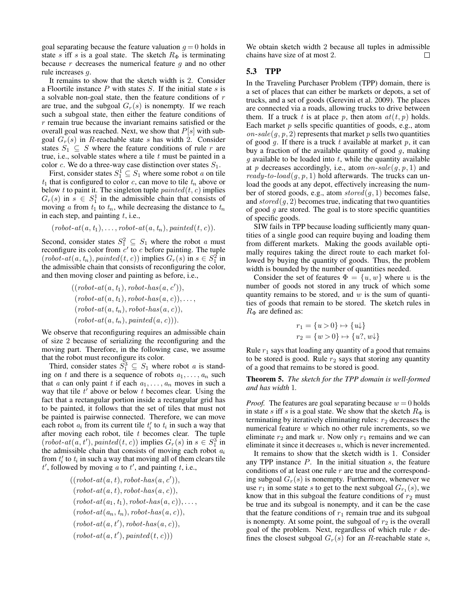goal separating because the feature valuation  $g = 0$  holds in state s iff s is a goal state. The sketch  $R_{\Phi}$  is terminating because  $r$  decreases the numerical feature  $g$  and no other rule increases g.

It remains to show that the sketch width is 2. Consider a Floortile instance  $P$  with states  $S$ . If the initial state  $s$  is a solvable non-goal state, then the feature conditions of r are true, and the subgoal  $G_r(s)$  is nonempty. If we reach such a subgoal state, then either the feature conditions of  $r$  remain true because the invariant remains satisfied or the overall goal was reached. Next, we show that  $P[s]$  with subgoal  $G_r(s)$  in R-reachable state s has width 2. Consider states  $S_1 \subseteq S$  where the feature conditions of rule r are true, i.e., solvable states where a tile  $t$  must be painted in a color c. We do a three-way case distinction over states  $S_1$ .

First, consider states  $S_1^1 \subseteq S_1$  where some robot a on tile  $t_1$  that is configured to color c, can move to tile  $t_n$  above or below t to paint it. The singleton tuple  $\textit{painted}(t, c)$  implies  $G_r(s)$  in  $s \in S_1^1$  in the admissible chain that consists of moving a from  $t_1$  to  $t_n$ , while decreasing the distance to  $t_n$ in each step, and painting  $t$ , i.e.,

 $(robot-at(a, t<sub>1</sub>), \ldots, robot-at(a, t<sub>n</sub>), painted(t, c)).$ 

Second, consider states  $S_1^2 \subseteq S_1$  where the robot a must reconfigure its color from  $c'$  to c before painting. The tuple  $(robot-at(a, t_n), painted(t, c))$  implies  $G_r(s)$  in  $s \in S_1^2$  in the admissible chain that consists of reconfiguring the color, and then moving closer and painting as before, i.e.,

$$
((robot-at(a, t_1), robot-has(a, c')),(robot-at(a, t_1), robot-has(a, c)),...,(robot-at(a, t_n), robot-has(a, c)),(robot-at(a, t_n), painted(a, c))).
$$

We observe that reconfiguring requires an admissible chain of size 2 because of serializing the reconfiguring and the moving part. Therefore, in the following case, we assume that the robot must reconfigure its color.

Third, consider states  $S_1^3 \subseteq S_1$  where robot a is standing on t and there is a sequence of robots  $a_1, \ldots, a_n$  such that a can only paint t if each  $a_1, \ldots, a_n$  moves in such a way that tile  $t'$  above or below t becomes clear. Using the fact that a rectangular portion inside a rectangular grid has to be painted, it follows that the set of tiles that must not be painted is pairwise connected. Therefore, we can move each robot  $a_i$  from its current tile  $t'_i$  to  $t_i$  in such a way that after moving each robot, tile  $t$  becomes clear. The tuple  $(robot-at(a, t'), painted(t, c))$  implies  $G_r(s)$  in  $s \in S_1^3$  in the admissible chain that consists of moving each robot  $a_i$ from  $t_i'$  to  $t_i$  in such a way that moving all of them clears tile  $t'$ , followed by moving a to  $t'$ , and painting  $t$ , i.e.,

$$
((robot-at(a, t), robot-has(a, c')),(robot-at(a, t), robot-has(a, c)),(robot-at(a1, t1), robot-has(a, c)),...,(robot-at(an, tn), robot-has(a, c)),(robot-at(a, t'), robot-has(a, c)),(robot-at(a, t'), pointed(t, c)))
$$

We obtain sketch width 2 because all tuples in admissible chains have size of at most 2.  $\Box$ 

# 5.3 TPP

In the Traveling Purchaser Problem (TPP) domain, there is a set of places that can either be markets or depots, a set of trucks, and a set of goods [\(Gerevini et al. 2009\)](#page-9-13). The places are connected via a roads, allowing trucks to drive between them. If a truck t is at place p, then atom  $at(t, p)$  holds. Each market  $p$  sells specific quantities of goods, e.g., atom on-sale(q, p, 2) represents that market p sells two quantities of good  $q$ . If there is a truck t available at market  $p$ , it can buy a fraction of the available quantity of good  $g$ , making  $g$  available to be loaded into  $t$ , while the quantity available at p decreases accordingly, i.e., atom on-sale( $q, p, 1$ ) and ready-to-load( $g, p, 1$ ) hold afterwards. The trucks can unload the goods at any depot, effectively increasing the number of stored goods, e.g., atom  $stored(g, 1)$  becomes false, and  $stored(g, 2)$  becomes true, indicating that two quantities of good  $g$  are stored. The goal is to store specific quantities of specific goods.

SIW fails in TPP because loading sufficiently many quantities of a single good can require buying and loading them from different markets. Making the goods available optimally requires taking the direct route to each market followed by buying the quantity of goods. Thus, the problem width is bounded by the number of quantities needed.

Consider the set of features  $\Phi = \{u, w\}$  where u is the number of goods not stored in any truck of which some quantity remains to be stored, and  $w$  is the sum of quantities of goods that remain to be stored. The sketch rules in  $R_{\Phi}$  are defined as:

$$
r_1 = \{u > 0\} \mapsto \{u\}
$$
  

$$
r_2 = \{w > 0\} \mapsto \{u?, w\}
$$

Rule  $r_1$  says that loading any quantity of a good that remains to be stored is good. Rule  $r_2$  says that storing any quantity of a good that remains to be stored is good.

Theorem 5. *The sketch for the TPP domain is well-formed and has width* 1*.*

*Proof.* The features are goal separating because  $w = 0$  holds in state s iff s is a goal state. We show that the sketch  $R_{\Phi}$  is terminating by iteratively eliminating rules:  $r_2$  decreases the numerical feature  $w$  which no other rule increments, so we eliminate  $r_2$  and mark w. Now only  $r_1$  remains and we can eliminate it since it decreases  $u$ , which is never incremented.

It remains to show that the sketch width is 1. Consider any TPP instance  $P$ . In the initial situation  $s$ , the feature conditions of at least one rule  $r$  are true and the corresponding subgoal  $G_r(s)$  is nonempty. Furthermore, whenever we use  $r_1$  in some state s to get to the next subgoal  $G_{r_1}(s)$ , we know that in this subgoal the feature conditions of  $r_2$  must be true and its subgoal is nonempty, and it can be the case that the feature conditions of  $r_1$  remain true and its subgoal is nonempty. At some point, the subgoal of  $r_2$  is the overall goal of the problem. Next, regardless of which rule  $r$  defines the closest subgoal  $G_r(s)$  for an R-reachable state s,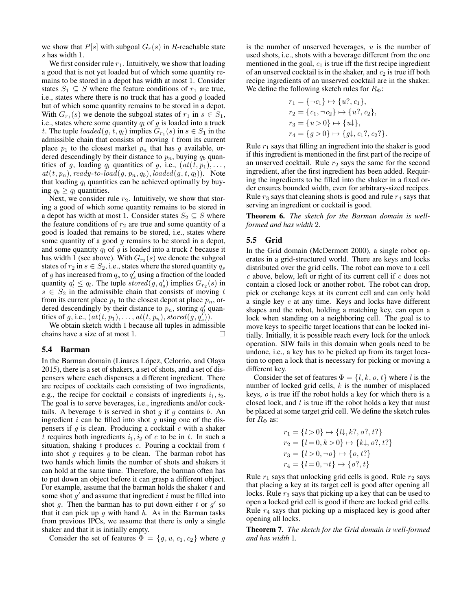we show that  $P[s]$  with subgoal  $G_r(s)$  in R-reachable state s has width 1.

We first consider rule  $r_1$ . Intuitively, we show that loading a good that is not yet loaded but of which some quantity remains to be stored in a depot has width at most 1. Consider states  $S_1 \subseteq S$  where the feature conditions of  $r_1$  are true, i.e., states where there is no truck that has a good  $g$  loaded but of which some quantity remains to be stored in a depot. With  $G_{r_1}(s)$  we denote the subgoal states of  $r_1$  in  $s \in S_1$ , i.e., states where some quantity  $q_l$  of g is loaded into a truck t. The tuple  $\text{loaded}(g, t, q_l)$  implies  $G_{r_1}(s)$  in  $s \in S_1$  in the admissible chain that consists of moving  $t$  from its current place  $p_1$  to the closest market  $p_n$  that has g available, ordered descendingly by their distance to  $p_n$ , buying  $q_b$  quantities of g, loading  $q_l$  quantities of g, i.e.,  $(at(t, p_1), \ldots,$  $at(t, p_n), ready-to-load(g, p_n, q_b), loaded(g, t, q_l)).$  Note that loading  $q_l$  quantities can be achieved optimally by buying  $q_b \geq q_l$  quantities.

Next, we consider rule  $r_2$ . Intuitively, we show that storing a good of which some quantity remains to be stored in a depot has width at most 1. Consider states  $S_2 \subseteq S$  where the feature conditions of  $r_2$  are true and some quantity of a good is loaded that remains to be stored, i.e., states where some quantity of a good  $g$  remains to be stored in a depot, and some quantity  $q_l$  of g is loaded into a truck t because it has width 1 (see above). With  $G_{r_2}(s)$  we denote the subgoal states of  $r_2$  in  $s \in S_2$ , i.e., states where the stored quantity  $q_s$ of g has increased from  $q_s$  to  $q'_s$  using a fraction of the loaded quantity  $q'_l \leq q_l$ . The tuple  $stored(g, q'_s)$  implies  $G_{r_2}(s)$  in  $s \in S_2$  in the admissible chain that consists of moving t from its current place  $p_1$  to the closest depot at place  $p_n$ , ordered descendingly by their distance to  $p_n$ , storing  $q_l$  quantities of g, i.e.,  $(at(t, p_1), \ldots, at(t, p_n), stored(g, q_s^{t})).$ 

We obtain sketch width 1 because all tuples in admissible chains have a size of at most 1. П

#### 5.4 Barman

In the Barman domain (Linares López, Celorrio, and Olaya [2015\)](#page-9-12), there is a set of shakers, a set of shots, and a set of dispensers where each dispenses a different ingredient. There are recipes of cocktails each consisting of two ingredients, e.g., the recipe for cocktail c consists of ingredients  $i_1$ ,  $i_2$ . The goal is to serve beverages, i.e., ingredients and/or cocktails. A beverage  $b$  is served in shot  $g$  if  $g$  contains  $b$ . An ingredient  $i$  can be filled into shot  $q$  using one of the dispensers if  $g$  is clean. Producing a cocktail  $c$  with a shaker t requires both ingredients  $i_1$ ,  $i_2$  of c to be in t. In such a situation, shaking  $t$  produces  $c$ . Pouring a cocktail from  $t$ into shot  $g$  requires  $g$  to be clean. The barman robot has two hands which limits the number of shots and shakers it can hold at the same time. Therefore, the barman often has to put down an object before it can grasp a different object. For example, assume that the barman holds the shaker  $t$  and some shot  $g'$  and assume that ingredient i must be filled into shot g. Then the barman has to put down either t or  $g'$  so that it can pick up  $q$  with hand  $h$ . As in the Barman tasks from previous IPCs, we assume that there is only a single shaker and that it is initially empty.

Consider the set of features  $\Phi = \{g, u, c_1, c_2\}$  where g

is the number of unserved beverages,  $u$  is the number of used shots, i.e., shots with a beverage different from the one mentioned in the goal,  $c_1$  is true iff the first recipe ingredient of an unserved cocktail is in the shaker, and  $c_2$  is true iff both recipe ingredients of an unserved cocktail are in the shaker. We define the following sketch rules for  $R_{\Phi}$ :

$$
r_1 = \{\neg c_1\} \mapsto \{u?, c_1\},
$$
  
\n
$$
r_2 = \{c_1, \neg c_2\} \mapsto \{u?, c_2\},
$$
  
\n
$$
r_3 = \{u > 0\} \mapsto \{u\},
$$
  
\n
$$
r_4 = \{g > 0\} \mapsto \{g\}, c_1?, c_2?\}.
$$

Rule  $r_1$  says that filling an ingredient into the shaker is good if this ingredient is mentioned in the first part of the recipe of an unserved cocktail. Rule  $r_2$  says the same for the second ingredient, after the first ingredient has been added. Requiring the ingredients to be filled into the shaker in a fixed order ensures bounded width, even for arbitrary-sized recipes. Rule  $r_3$  says that cleaning shots is good and rule  $r_4$  says that serving an ingredient or cocktail is good.

Theorem 6. *The sketch for the Barman domain is wellformed and has width* 2*.*

## 5.5 Grid

In the Grid domain [\(McDermott 2000\)](#page-10-2), a single robot operates in a grid-structured world. There are keys and locks distributed over the grid cells. The robot can move to a cell  $c$  above, below, left or right of its current cell if  $c$  does not contain a closed lock or another robot. The robot can drop, pick or exchange keys at its current cell and can only hold a single key e at any time. Keys and locks have different shapes and the robot, holding a matching key, can open a lock when standing on a neighboring cell. The goal is to move keys to specific target locations that can be locked initially. Initially, it is possible reach every lock for the unlock operation. SIW fails in this domain when goals need to be undone, i.e., a key has to be picked up from its target location to open a lock that is necessary for picking or moving a different key.

Consider the set of features  $\Phi = \{l, k, o, t\}$  where l is the number of locked grid cells,  $k$  is the number of misplaced keys, o is true iff the robot holds a key for which there is a closed lock, and  $t$  is true iff the robot holds a key that must be placed at some target grid cell. We define the sketch rules for  $R_{\Phi}$  as:

$$
r_1 = \{l > 0\} \mapsto \{\mathcal{l}\downarrow, k?, o?, t?\}
$$
  
\n
$$
r_2 = \{l = 0, k > 0\} \mapsto \{k\downarrow, o?, t?\}
$$
  
\n
$$
r_3 = \{l > 0, \neg o\} \mapsto \{o, t?\}
$$
  
\n
$$
r_4 = \{l = 0, \neg t\} \mapsto \{o?, t\}
$$

Rule  $r_1$  says that unlocking grid cells is good. Rule  $r_2$  says that placing a key at its target cell is good after opening all locks. Rule  $r_3$  says that picking up a key that can be used to open a locked grid cell is good if there are locked grid cells. Rule  $r_4$  says that picking up a misplaced key is good after opening all locks.

Theorem 7. *The sketch for the Grid domain is well-formed and has width* 1*.*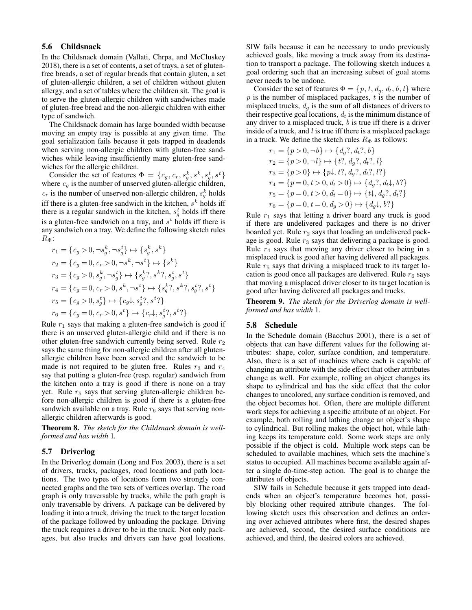# 5.6 Childsnack

In the Childsnack domain [\(Vallati, Chrpa, and McCluskey](#page-10-3) [2018\)](#page-10-3), there is a set of contents, a set of trays, a set of glutenfree breads, a set of regular breads that contain gluten, a set of gluten-allergic children, a set of children without gluten allergy, and a set of tables where the children sit. The goal is to serve the gluten-allergic children with sandwiches made of gluten-free bread and the non-allergic children with either type of sandwich.

The Childsnack domain has large bounded width because moving an empty tray is possible at any given time. The goal serialization fails because it gets trapped in deadends when serving non-allergic children with gluten-free sandwiches while leaving insufficiently many gluten-free sandwiches for the allergic children.

Consider the set of features  $\Phi = \{c_g, c_r, s_g^k, s^k, s_g^t, s^t\}$ where  $c_g$  is the number of unserved gluten-allergic children,  $c_r$  is the number of unserved non-allergic children,  $s_g^k$  holds iff there is a gluten-free sandwich in the kitchen,  $s^k$  holds iff there is a regular sandwich in the kitchen,  $s_g^t$  holds iff there is a gluten-free sandwich on a tray, and  $s<sup>t</sup>$  holds iff there is any sandwich on a tray. We define the following sketch rules  $R_{\Phi}$ :

$$
\begin{aligned} r_1 &= \{c_g > 0, \neg s_g^k, \neg s_g^t\} \mapsto \{s_g^k, s^k\} \\ r_2 &= \{c_g = 0, c_r > 0, \neg s^k, \neg s^t\} \mapsto \{s^k\} \\ r_3 &= \{c_g > 0, s_g^k, \neg s_g^t\} \mapsto \{s_g^k?, s^k?, s_g^t, s^t\} \\ r_4 &= \{c_g = 0, c_r > 0, s^k, \neg s^t\} \mapsto \{s_g^k?, s^k?, s_g^t?, s^t\} \\ r_5 &= \{c_g > 0, s_g^t\} \mapsto \{c_g\downarrow, s_g^t?, s^t\} \\ r_6 &= \{c_g = 0, c_r > 0, s^t\} \mapsto \{c_r\downarrow, s_g^t?, s^t?\} \end{aligned}
$$

Rule  $r_1$  says that making a gluten-free sandwich is good if there is an unserved gluten-allergic child and if there is no other gluten-free sandwich currently being served. Rule  $r<sub>2</sub>$ says the same thing for non-allergic children after all glutenallergic children have been served and the sandwich to be made is not required to be gluten free. Rules  $r_3$  and  $r_4$ say that putting a gluten-free (resp. regular) sandwich from the kitchen onto a tray is good if there is none on a tray yet. Rule  $r<sub>5</sub>$  says that serving gluten-allergic children before non-allergic children is good if there is a gluten-free sandwich available on a tray. Rule  $r_6$  says that serving nonallergic children afterwards is good.

Theorem 8. *The sketch for the Childsnack domain is wellformed and has width* 1*.*

#### 5.7 Driverlog

In the Driverlog domain [\(Long and Fox 2003\)](#page-9-14), there is a set of drivers, trucks, packages, road locations and path locations. The two types of locations form two strongly connected graphs and the two sets of vertices overlap. The road graph is only traversable by trucks, while the path graph is only traversable by drivers. A package can be delivered by loading it into a truck, driving the truck to the target location of the package followed by unloading the package. Driving the truck requires a driver to be in the truck. Not only packages, but also trucks and drivers can have goal locations.

SIW fails because it can be necessary to undo previously achieved goals, like moving a truck away from its destination to transport a package. The following sketch induces a goal ordering such that an increasing subset of goal atoms never needs to be undone.

Consider the set of features  $\Phi = \{p, t, d_q, d_t, b, l\}$  where  $p$  is the number of misplaced packages,  $t$  is the number of misplaced trucks,  $d_q$  is the sum of all distances of drivers to their respective goal locations,  $d_t$  is the minimum distance of any driver to a misplaced truck,  $b$  is true iff there is a driver inside of a truck, and  $l$  is true iff there is a misplaced package in a truck. We define the sketch rules  $R_{\Phi}$  as follows:

$$
r_1 = \{p > 0, \neg b\} \mapsto \{d_g?, d_t?, b\}
$$
  
\n
$$
r_2 = \{p > 0, \neg l\} \mapsto \{t?, d_g?, d_t?, l\}
$$
  
\n
$$
r_3 = \{p > 0\} \mapsto \{p\}, t?, d_g?, d_t?, l?\}
$$
  
\n
$$
r_4 = \{p = 0, t > 0, d_t > 0\} \mapsto \{d_g?, d_t\}, b?\}
$$
  
\n
$$
r_5 = \{p = 0, t > 0, d_t = 0\} \mapsto \{t\}, d_g?, d_t? \}
$$
  
\n
$$
r_6 = \{p = 0, t = 0, d_g > 0\} \mapsto \{d_g\}, b? \}
$$

Rule  $r_1$  says that letting a driver board any truck is good if there are undelivered packages and there is no driver boarded yet. Rule  $r_2$  says that loading an undelivered package is good. Rule  $r_3$  says that delivering a package is good. Rule  $r_4$  says that moving any driver closer to being in a misplaced truck is good after having delivered all packages. Rule  $r<sub>5</sub>$  says that driving a misplaced truck to its target location is good once all packages are delivered. Rule  $r_6$  says that moving a misplaced driver closer to its target location is good after having delivered all packages and trucks.

Theorem 9. *The sketch for the Driverlog domain is wellformed and has width* 1*.*

### 5.8 Schedule

In the Schedule domain [\(Bacchus 2001\)](#page-9-15), there is a set of objects that can have different values for the following attributes: shape, color, surface condition, and temperature. Also, there is a set of machines where each is capable of changing an attribute with the side effect that other attributes change as well. For example, rolling an object changes its shape to cylindrical and has the side effect that the color changes to uncolored, any surface condition is removed, and the object becomes hot. Often, there are multiple different work steps for achieving a specific attribute of an object. For example, both rolling and lathing change an object's shape to cylindrical. But rolling makes the object hot, while lathing keeps its temperature cold. Some work steps are only possible if the object is cold. Multiple work steps can be scheduled to available machines, which sets the machine's status to occupied. All machines become available again after a single do-time-step action. The goal is to change the attributes of objects.

SIW fails in Schedule because it gets trapped into deadends when an object's temperature becomes hot, possibly blocking other required attribute changes. The following sketch uses this observation and defines an ordering over achieved attributes where first, the desired shapes are achieved, second, the desired surface conditions are achieved, and third, the desired colors are achieved.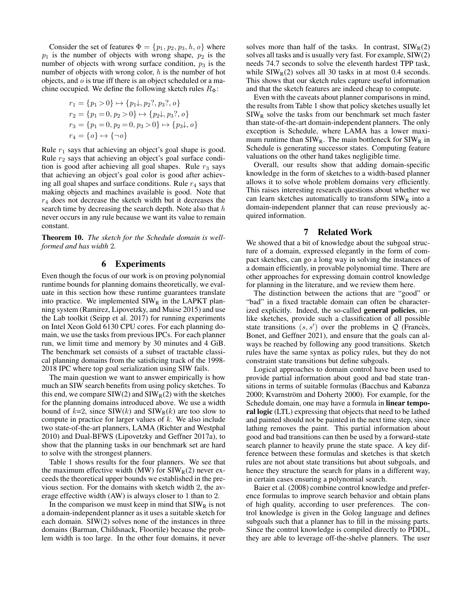Consider the set of features  $\Phi = \{p_1, p_2, p_3, h, o\}$  where  $p_1$  is the number of objects with wrong shape,  $p_2$  is the number of objects with wrong surface condition,  $p_3$  is the number of objects with wrong color, h is the number of hot objects, and  $o$  is true iff there is an object scheduled or a machine occupied. We define the following sketch rules  $R_{\Phi}$ :

$$
r_1 = \{p_1 > 0\} \mapsto \{p_1\downarrow, p_2?, p_3?, o\}
$$
  
\n
$$
r_2 = \{p_1 = 0, p_2 > 0\} \mapsto \{p_2\downarrow, p_3?, o\}
$$
  
\n
$$
r_3 = \{p_1 = 0, p_2 = 0, p_3 > 0\} \mapsto \{p_3\downarrow, o\}
$$
  
\n
$$
r_4 = \{o\} \mapsto \{\neg o\}
$$

Rule  $r_1$  says that achieving an object's goal shape is good. Rule  $r_2$  says that achieving an object's goal surface condition is good after achieving all goal shapes. Rule  $r_3$  says that achieving an object's goal color is good after achieving all goal shapes and surface conditions. Rule  $r_4$  says that making objects and machines available is good. Note that  $r<sub>4</sub>$  does not decrease the sketch width but it decreases the search time by decreasing the search depth. Note also that  $h$ never occurs in any rule because we want its value to remain constant.

Theorem 10. *The sketch for the Schedule domain is wellformed and has width* 2*.*

### 6 Experiments

Even though the focus of our work is on proving polynomial runtime bounds for planning domains theoretically, we evaluate in this section how these runtime guarantees translate into practice. We implemented  $\text{SIW}_R$  in the LAPKT planning system [\(Ramirez, Lipovetzky, and Muise 2015\)](#page-10-4) and use the Lab toolkit [\(Seipp et al. 2017\)](#page-10-5) for running experiments on Intel Xeon Gold 6130 CPU cores. For each planning domain, we use the tasks from previous IPCs. For each planner run, we limit time and memory by 30 minutes and 4 GiB. The benchmark set consists of a subset of tractable classical planning domains from the satisficing track of the 1998- 2018 IPC where top goal serialization using SIW fails.

The main question we want to answer empirically is how much an SIW search benefits from using policy sketches. To this end, we compare  $SIW(2)$  and  $SIW<sub>R</sub>(2)$  with the sketches for the planning domains introduced above. We use a width bound of  $k=2$ , since SIW(k) and SIW<sub>R</sub>(k) are too slow to compute in practice for larger values of  $k$ . We also include two state-of-the-art planners, LAMA [\(Richter and Westphal](#page-10-6) [2010\)](#page-10-6) and Dual-BFWS [\(Lipovetzky and Geffner 2017a\)](#page-9-1), to show that the planning tasks in our benchmark set are hard to solve with the strongest planners.

Table [1](#page-8-0) shows results for the four planners. We see that the maximum effective width (MW) for  $SIW_R(2)$  never exceeds the theoretical upper bounds we established in the previous section. For the domains with sketch width 2, the average effective width (AW) is always closer to 1 than to 2.

In the comparison we must keep in mind that  $SIW_R$  is not a domain-independent planner as it uses a suitable sketch for each domain. SIW(2) solves none of the instances in three domains (Barman, Childsnack, Floortile) because the problem width is too large. In the other four domains, it never solves more than half of the tasks. In contrast,  $SIW<sub>R</sub>(2)$ solves all tasks and is usually very fast. For example, SIW(2) needs 74.7 seconds to solve the eleventh hardest TPP task, while  $SIW_R(2)$  solves all 30 tasks in at most 0.4 seconds. This shows that our sketch rules capture useful information and that the sketch features are indeed cheap to compute.

Even with the caveats about planner comparisons in mind, the results from Table [1](#page-8-0) show that policy sketches usually let  $SIW_R$  solve the tasks from our benchmark set much faster than state-of-the-art domain-independent planners. The only exception is Schedule, where LAMA has a lower maximum runtime than  $SIW_R$ . The main bottleneck for  $SIW_R$  in Schedule is generating successor states. Computing feature valuations on the other hand takes negligible time.

Overall, our results show that adding domain-specific knowledge in the form of sketches to a width-based planner allows it to solve whole problem domains very efficiently. This raises interesting research questions about whether we can learn sketches automatically to transform  $\text{SIW}_R$  into a domain-independent planner that can reuse previously acquired information.

### 7 Related Work

We showed that a bit of knowledge about the subgoal structure of a domain, expressed elegantly in the form of compact sketches, can go a long way in solving the instances of a domain efficiently, in provable polynomial time. There are other approaches for expressing domain control knowledge for planning in the literature, and we review them here.

The distinction between the actions that are "good" or "bad" in a fixed tractable domain can often be characterized explicitly. Indeed, the so-called **general policies**, unlike sketches, provide such a classification of all possible state transitions  $(s, s')$  over the problems in  $Q$  [\(Frances,](#page-9-9) [Bonet, and Geffner 2021\)](#page-9-9), and ensure that the goals can always be reached by following any good transitions. Sketch rules have the same syntax as policy rules, but they do not constraint state transitions but define subgoals.

Logical approaches to domain control have been used to provide partial information about good and bad state transitions in terms of suitable formulas [\(Bacchus and Kabanza](#page-9-16) [2000;](#page-9-16) Kvarnström and Doherty 2000). For example, for the Schedule domain, one may have a formula in linear temporal logic (LTL) expressing that objects that need to be lathed and painted should not be painted in the next time step, since lathing removes the paint. This partial information about good and bad transitions can then be used by a forward-state search planner to heavily prune the state space. A key difference between these formulas and sketches is that sketch rules are not about state transitions but about subgoals, and hence they structure the search for plans in a different way, in certain cases ensuring a polynomial search.

[Baier et al.](#page-9-18) [\(2008\)](#page-9-18) combine control knowledge and preference formulas to improve search behavior and obtain plans of high quality, according to user preferences. The control knowledge is given in the Golog language and defines subgoals such that a planner has to fill in the missing parts. Since the control knowledge is compiled directly to PDDL, they are able to leverage off-the-shelve planners. The user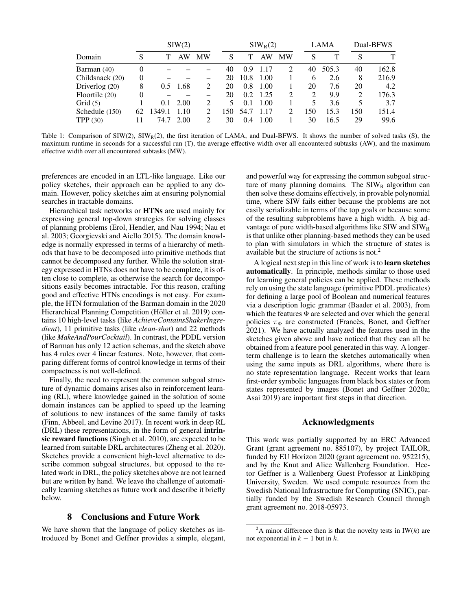<span id="page-8-0"></span>

| Domain          | SIW(2)   |        |                  |           | $SIW_R(2)$ |      |      |                | <b>LAMA</b> |       | Dual-BFWS      |       |
|-----------------|----------|--------|------------------|-----------|------------|------|------|----------------|-------------|-------|----------------|-------|
|                 | S        |        | AW               | <b>MW</b> | S          |      | AW   | <b>MW</b>      | S           |       | S              |       |
| Barman (40)     | $\Omega$ |        |                  |           | 40         | 0.9  | 1.17 | 2              | 40          | 505.3 | 40             | 162.8 |
| Childsnack (20) | $\Omega$ |        |                  |           | 20         | 10.8 | 1.00 |                | 6           | 2.6   | 8              | 216.9 |
| Driverlog (20)  | 8        | 0.5    | .68              |           | 20         | 0.8  | 1.00 |                | 20          | 7.6   | 20             | 4.2   |
| Floortile (20)  | 0        |        |                  |           | 20         | 0.2  | 1.25 | 2              | 2           | 9.9   | $\overline{c}$ | 176.3 |
| Grid $(5)$      |          |        | $0.1 \quad 2.00$ |           | 5          | 0.1  | 1.00 |                | 5           | 3.6   | 5              | 3.7   |
| Schedule (150)  | 62       | 1349.1 | 1.10             |           | 150        | 54.7 | 1.17 | $\mathfrak{D}$ | 150         | 15.3  | 150            | 151.4 |
| TPP $(30)$      |          | 74.7   | 2.00             |           | 30         | 0.4  | 1.00 |                | 30          | 16.5  | 29             | 99.6  |

Table 1: Comparison of  $\text{SIW}(2)$ ,  $\text{SIW}_R(2)$ , the first iteration of LAMA, and Dual-BFWS. It shows the number of solved tasks (S), the maximum runtime in seconds for a successful run (T), the average effective width over all encountered subtasks (AW), and the maximum effective width over all encountered subtasks (MW).

preferences are encoded in an LTL-like language. Like our policy sketches, their approach can be applied to any domain. However, policy sketches aim at ensuring polynomial searches in tractable domains.

Hierarchical task networks or HTNs are used mainly for expressing general top-down strategies for solving classes of planning problems [\(Erol, Hendler, and Nau 1994;](#page-9-19) [Nau et](#page-10-7) [al. 2003;](#page-10-7) [Georgievski and Aiello 2015\)](#page-9-20). The domain knowledge is normally expressed in terms of a hierarchy of methods that have to be decomposed into primitive methods that cannot be decomposed any further. While the solution strategy expressed in HTNs does not have to be complete, it is often close to complete, as otherwise the search for decompositions easily becomes intractable. For this reason, crafting good and effective HTNs encodings is not easy. For example, the HTN formulation of the Barman domain in the 2020 Hierarchical Planning Competition (Höller et al. 2019) contains 10 high-level tasks (like *AchieveContainsShakerIngredient*), 11 primitive tasks (like *clean-shot*) and 22 methods (like *MakeAndPourCocktail*). In contrast, the PDDL version of Barman has only 12 action schemas, and the sketch above has 4 rules over 4 linear features. Note, however, that comparing different forms of control knowledge in terms of their compactness is not well-defined.

Finally, the need to represent the common subgoal structure of dynamic domains arises also in reinforcement learning (RL), where knowledge gained in the solution of some domain instances can be applied to speed up the learning of solutions to new instances of the same family of tasks [\(Finn, Abbeel, and Levine 2017\)](#page-9-22). In recent work in deep RL (DRL) these representations, in the form of general intrinsic reward functions [\(Singh et al. 2010\)](#page-10-8), are expected to be learned from suitable DRL architectures [\(Zheng et al. 2020\)](#page-10-9). Sketches provide a convenient high-level alternative to describe common subgoal structures, but opposed to the related work in DRL, the policy sketches above are not learned but are written by hand. We leave the challenge of automatically learning sketches as future work and describe it briefly below.

# 8 Conclusions and Future Work

We have shown that the language of policy sketches as introduced by Bonet and Geffner provides a simple, elegant,

and powerful way for expressing the common subgoal structure of many planning domains. The  $SIW_R$  algorithm can then solve these domains effectively, in provable polynomial time, where SIW fails either because the problems are not easily serializable in terms of the top goals or because some of the resulting subproblems have a high width. A big advantage of pure width-based algorithms like  $\text{SIW}$  and  $\text{SIW}_R$ is that unlike other planning-based methods they can be used to plan with simulators in which the structure of states is available but the structure of actions is not.[2](#page-8-1)

A logical next step in this line of work is to learn sketches automatically. In principle, methods similar to those used for learning general policies can be applied. These methods rely on using the state language (primitive PDDL predicates) for defining a large pool of Boolean and numerical features via a description logic grammar [\(Baader et al. 2003\)](#page-9-23), from which the features  $\Phi$  are selected and over which the general policies  $\pi_{\Phi}$  are constructed (Francès, Bonet, and Geffner [2021\)](#page-9-9). We have actually analyzed the features used in the sketches given above and have noticed that they can all be obtained from a feature pool generated in this way. A longerterm challenge is to learn the sketches automatically when using the same inputs as DRL algorithms, where there is no state representation language. Recent works that learn first-order symbolic languages from black box states or from states represented by images [\(Bonet and Geffner 2020a;](#page-9-24) [Asai 2019\)](#page-9-25) are important first steps in that direction.

#### Acknowledgments

This work was partially supported by an ERC Advanced Grant (grant agreement no. 885107), by project TAILOR, funded by EU Horizon 2020 (grant agreement no. 952215), and by the Knut and Alice Wallenberg Foundation. Hector Geffner is a Wallenberg Guest Professor at Linköping University, Sweden. We used compute resources from the Swedish National Infrastructure for Computing (SNIC), partially funded by the Swedish Research Council through grant agreement no. 2018-05973.

<span id="page-8-1"></span><sup>&</sup>lt;sup>2</sup>A minor difference then is that the novelty tests in IW(k) are not exponential in  $k - 1$  but in  $k$ .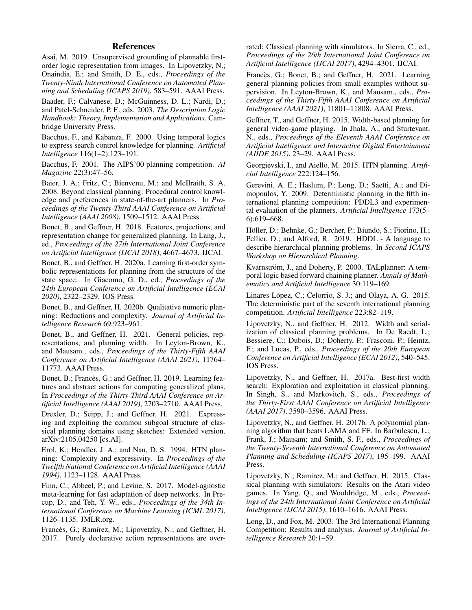# References

<span id="page-9-25"></span>Asai, M. 2019. Unsupervised grounding of plannable firstorder logic representation from images. In Lipovetzky, N.; Onaindia, E.; and Smith, D. E., eds., *Proceedings of the Twenty-Ninth International Conference on Automated Planning and Scheduling (ICAPS 2019)*, 583–591. AAAI Press.

<span id="page-9-23"></span>Baader, F.; Calvanese, D.; McGuinness, D. L.; Nardi, D.; and Patel-Schneider, P. F., eds. 2003. *The Description Logic Handbook: Theory, Implementation and Applications*. Cambridge University Press.

<span id="page-9-16"></span>Bacchus, F., and Kabanza, F. 2000. Using temporal logics to express search control knowledge for planning. *Artificial Intelligence* 116(1–2):123–191.

<span id="page-9-15"></span>Bacchus, F. 2001. The AIPS'00 planning competition. *AI Magazine* 22(3):47–56.

<span id="page-9-18"></span>Baier, J. A.; Fritz, C.; Bienvenu, M.; and McIlraith, S. A. 2008. Beyond classical planning: Procedural control knowledge and preferences in state-of-the-art planners. In *Proceedings of the Twenty-Third AAAI Conference on Artificial Intelligence (AAAI 2008)*, 1509–1512. AAAI Press.

<span id="page-9-7"></span>Bonet, B., and Geffner, H. 2018. Features, projections, and representation change for generalized planning. In Lang, J., ed., *Proceedings of the 27th International Joint Conference on Artificial Intelligence (IJCAI 2018)*, 4667–4673. IJCAI.

<span id="page-9-24"></span>Bonet, B., and Geffner, H. 2020a. Learning first-order symbolic representations for planning from the structure of the state space. In Giacomo, G. D., ed., *Proceedings of the 24th European Conference on Artificial Intelligence (ECAI 2020)*, 2322–2329. IOS Press.

<span id="page-9-10"></span>Bonet, B., and Geffner, H. 2020b. Qualitative numeric planning: Reductions and complexity. *Journal of Artificial Intelligence Research* 69:923–961.

<span id="page-9-6"></span>Bonet, B., and Geffner, H. 2021. General policies, representations, and planning width. In Leyton-Brown, K., and Mausam., eds., *Proceedings of the Thirty-Fifth AAAI Conference on Artificial Intelligence (AAAI 2021)*, 11764– 11773. AAAI Press.

<span id="page-9-8"></span>Bonet, B.; Francès, G.; and Geffner, H. 2019. Learning features and abstract actions for computing generalized plans. In *Proceedings of the Thirty-Third AAAI Conference on Artificial Intelligence (AAAI 2019)*, 2703–2710. AAAI Press.

<span id="page-9-11"></span>Drexler, D.; Seipp, J.; and Geffner, H. 2021. Expressing and exploiting the common subgoal structure of classical planning domains using sketches: Extended version. arXiv:2105.04250 [cs.AI].

<span id="page-9-19"></span>Erol, K.; Hendler, J. A.; and Nau, D. S. 1994. HTN planning: Complexity and expressivity. In *Proceedings of the Twelfth National Conference on Artificial Intelligence (AAAI 1994)*, 1123–1128. AAAI Press.

<span id="page-9-22"></span>Finn, C.; Abbeel, P.; and Levine, S. 2017. Model-agnostic meta-learning for fast adaptation of deep networks. In Precup, D., and Teh, Y. W., eds., *Proceedings of the 34th International Conference on Machine Learning (ICML 2017)*, 1126–1135. JMLR.org.

<span id="page-9-5"></span>Francès, G.; Ramírez, M.; Lipovetzky, N.; and Geffner, H. 2017. Purely declarative action representations are overrated: Classical planning with simulators. In Sierra, C., ed., *Proceedings of the 26th International Joint Conference on Artificial Intelligence (IJCAI 2017)*, 4294–4301. IJCAI.

<span id="page-9-9"></span>Francès, G.; Bonet, B.; and Geffner, H. 2021. Learning general planning policies from small examples without supervision. In Leyton-Brown, K., and Mausam., eds., *Proceedings of the Thirty-Fifth AAAI Conference on Artificial Intelligence (AAAI 2021)*, 11801–11808. AAAI Press.

<span id="page-9-4"></span>Geffner, T., and Geffner, H. 2015. Width-based planning for general video-game playing. In Jhala, A., and Sturtevant, N., eds., *Proceedings of the Eleventh AAAI Conference on Artificial Intelligence and Interactive Digital Entertainment (AIIDE 2015)*, 23–29. AAAI Press.

<span id="page-9-20"></span>Georgievski, I., and Aiello, M. 2015. HTN planning. *Artificial Intelligence* 222:124–156.

<span id="page-9-13"></span>Gerevini, A. E.; Haslum, P.; Long, D.; Saetti, A.; and Dimopoulos, Y. 2009. Deterministic planning in the fifth international planning competition: PDDL3 and experimental evaluation of the planners. *Artificial Intelligence* 173(5– 6):619–668.

<span id="page-9-21"></span>Höller, D.; Behnke, G.; Bercher, P.; Biundo, S.; Fiorino, H.; Pellier, D.; and Alford, R. 2019. HDDL - A language to describe hierarchical planning problems. In *Second ICAPS Workshop on Hierarchical Planning*.

<span id="page-9-17"></span>Kvarnström, J., and Doherty, P. 2000. TALplanner: A temporal logic based forward chaining planner. *Annals of Mathematics and Artificial Intelligence* 30:119–169.

<span id="page-9-12"></span>Linares López, C.; Celorrio, S. J.; and Olaya, A. G. 2015. The deterministic part of the seventh international planning competition. *Artificial Intelligence* 223:82–119.

<span id="page-9-0"></span>Lipovetzky, N., and Geffner, H. 2012. Width and serialization of classical planning problems. In De Raedt, L.; Bessiere, C.; Dubois, D.; Doherty, P.; Frasconi, P.; Heintz, F.; and Lucas, P., eds., *Proceedings of the 20th European Conference on Artificial Intelligence (ECAI 2012)*, 540–545. IOS Press.

<span id="page-9-1"></span>Lipovetzky, N., and Geffner, H. 2017a. Best-first width search: Exploration and exploitation in classical planning. In Singh, S., and Markovitch, S., eds., *Proceedings of the Thirty-First AAAI Conference on Artificial Intelligence (AAAI 2017)*, 3590–3596. AAAI Press.

<span id="page-9-2"></span>Lipovetzky, N., and Geffner, H. 2017b. A polynomial planning algorithm that beats LAMA and FF. In Barbulescu, L.; Frank, J.; Mausam; and Smith, S. F., eds., *Proceedings of the Twenty-Seventh International Conference on Automated Planning and Scheduling (ICAPS 2017)*, 195–199. AAAI Press.

<span id="page-9-3"></span>Lipovetzky, N.; Ramirez, M.; and Geffner, H. 2015. Classical planning with simulators: Results on the Atari video games. In Yang, Q., and Wooldridge, M., eds., *Proceedings of the 24th International Joint Conference on Artificial Intelligence (IJCAI 2015)*, 1610–1616. AAAI Press.

<span id="page-9-14"></span>Long, D., and Fox, M. 2003. The 3rd International Planning Competition: Results and analysis. *Journal of Artificial Intelligence Research* 20:1–59.